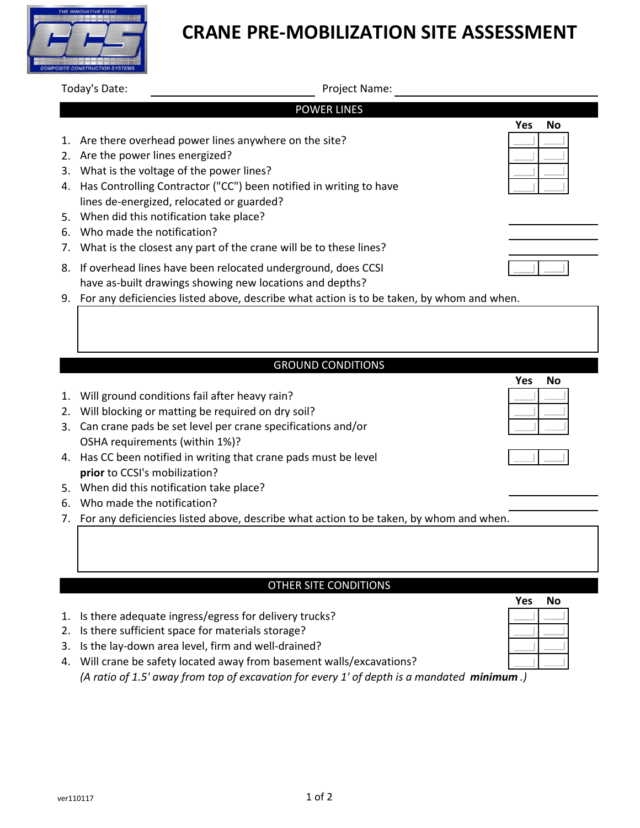# **CRANE PRE-MOBILIZATION SITE ASSESSMENT**

Today's Date: Name: Name: Project Name: Name: Name: Project Name: Name: Name: Name: Name: Name: Name: Name: Name: Name: Name: Name: Name: Name: Name: Name: Name: Name: Name: Name: Name: Name: Name: Name: Name: Name: Name:

| <b>POWER LINES</b> |                                                                                                                          |                  |  |  |  |  |  |  |
|--------------------|--------------------------------------------------------------------------------------------------------------------------|------------------|--|--|--|--|--|--|
|                    |                                                                                                                          | Yes<br>No        |  |  |  |  |  |  |
| 1.                 | Are there overhead power lines anywhere on the site?                                                                     |                  |  |  |  |  |  |  |
|                    | 2. Are the power lines energized?                                                                                        |                  |  |  |  |  |  |  |
|                    | 3. What is the voltage of the power lines?                                                                               |                  |  |  |  |  |  |  |
|                    | 4. Has Controlling Contractor ("CC") been notified in writing to have                                                    |                  |  |  |  |  |  |  |
|                    | lines de-energized, relocated or guarded?                                                                                |                  |  |  |  |  |  |  |
| 5.                 | When did this notification take place?                                                                                   |                  |  |  |  |  |  |  |
|                    | 6. Who made the notification?                                                                                            |                  |  |  |  |  |  |  |
| 7.                 | What is the closest any part of the crane will be to these lines?                                                        |                  |  |  |  |  |  |  |
| 8.                 | If overhead lines have been relocated underground, does CCSI<br>have as-built drawings showing new locations and depths? |                  |  |  |  |  |  |  |
|                    | 9. For any deficiencies listed above, describe what action is to be taken, by whom and when.                             |                  |  |  |  |  |  |  |
|                    | <b>GROUND CONDITIONS</b>                                                                                                 |                  |  |  |  |  |  |  |
|                    |                                                                                                                          | Yes<br><b>No</b> |  |  |  |  |  |  |
| 1.                 | Will ground conditions fail after heavy rain?                                                                            |                  |  |  |  |  |  |  |
|                    | 2. Will blocking or matting be required on dry soil?                                                                     |                  |  |  |  |  |  |  |
| 3.                 | Can crane pads be set level per crane specifications and/or                                                              |                  |  |  |  |  |  |  |
|                    | OSHA requirements (within 1%)?                                                                                           |                  |  |  |  |  |  |  |
|                    | 4. Has CC been notified in writing that crane pads must be level                                                         |                  |  |  |  |  |  |  |
|                    | prior to CCSI's mobilization?                                                                                            |                  |  |  |  |  |  |  |
| 5.                 | When did this notification take place?                                                                                   |                  |  |  |  |  |  |  |
| 6.                 | Who made the notification?                                                                                               |                  |  |  |  |  |  |  |
|                    | 7. For any deficiencies listed above, describe what action to be taken, by whom and when.                                |                  |  |  |  |  |  |  |
|                    |                                                                                                                          |                  |  |  |  |  |  |  |
|                    |                                                                                                                          |                  |  |  |  |  |  |  |
|                    |                                                                                                                          |                  |  |  |  |  |  |  |

### OTHER SITE CONDITIONS

- 1. Is there adequate ingress/egress for delivery trucks?
- 2. Is there sufficient space for materials storage?
- 3. Is the lay-down area level, firm and well-drained?
- 4. Will crane be safety located away from basement walls/excavations? *(A ratio of 1.5' away from top of excavation for every 1' of depth is a mandated minimum .)*

**Yes No**